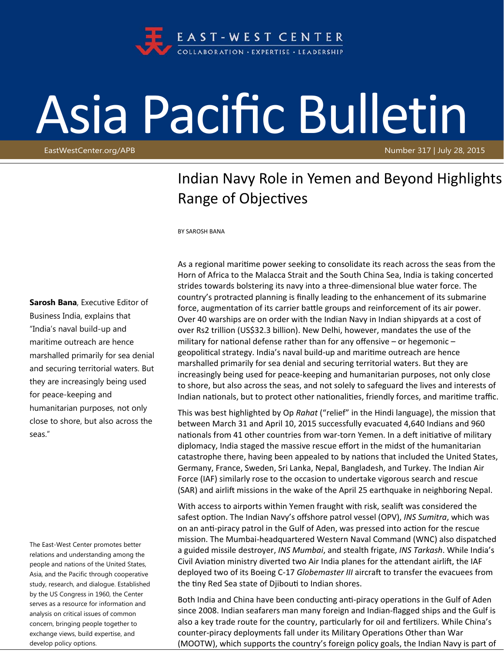

## Asia Pacific Bulletin

EastWestCenter.org/APB Number 317 | July 28, 2015

## Indian Navy Role in Yemen and Beyond Highlights Range of Objectives

BY SAROSH BANA

**Sarosh Bana**, Executive Editor of Business India, explains that "India's naval build-up and maritime outreach are hence marshalled primarily for sea denial and securing territorial waters. But they are increasingly being used for peace-keeping and humanitarian purposes, not only close to shore, but also across the seas."

The East-West Center promotes better relations and understanding among the people and nations of the United States, Asia, and the Pacific through cooperative study, research, and dialogue. Established by the US Congress in 1960, the Center serves as a resource for information and analysis on critical issues of common concern, bringing people together to exchange views, build expertise, and develop policy options.

As a regional maritime power seeking to consolidate its reach across the seas from the Horn of Africa to the Malacca Strait and the South China Sea, India is taking concerted strides towards bolstering its navy into a three-dimensional blue water force. The country's protracted planning is finally leading to the enhancement of its submarine force, augmentation of its carrier battle groups and reinforcement of its air power. Over 40 warships are on order with the Indian Navy in Indian shipyards at a cost of over Rs2 trillion (US\$32.3 billion). New Delhi, however, mandates the use of the military for national defense rather than for any offensive  $-$  or hegemonic  $$ geopolitical strategy. India's naval build-up and maritime outreach are hence marshalled primarily for sea denial and securing territorial waters. But they are increasingly being used for peace‐keeping and humanitarian purposes, not only close to shore, but also across the seas, and not solely to safeguard the lives and interests of Indian nationals, but to protect other nationalities, friendly forces, and maritime traffic.

This was best highlighted by Op *Rahat* ("relief" in the Hindi language), the mission that between March 31 and April 10, 2015 successfully evacuated 4,640 Indians and 960 nationals from 41 other countries from war-torn Yemen. In a deft initiative of military diplomacy, India staged the massive rescue effort in the midst of the humanitarian catastrophe there, having been appealed to by nations that included the United States, Germany, France, Sweden, Sri Lanka, Nepal, Bangladesh, and Turkey. The Indian Air Force (IAF) similarly rose to the occasion to undertake vigorous search and rescue (SAR) and airlift missions in the wake of the April 25 earthquake in neighboring Nepal.

With access to airports within Yemen fraught with risk, sealift was considered the safest option. The Indian Navy's offshore patrol vessel (OPV), *INS Sumitra*, which was on an anti-piracy patrol in the Gulf of Aden, was pressed into action for the rescue mission. The Mumbai‐headquartered Western Naval Command (WNC) also dispatched a guided missile destroyer, *INS Mumbai*, and stealth frigate, *INS Tarkash*. While India's Civil Aviation ministry diverted two Air India planes for the attendant airlift, the IAF deployed two of its Boeing C-17 *Globemaster III* aircraft to transfer the evacuees from the tiny Red Sea state of Djibouti to Indian shores.

Both India and China have been conducting anti-piracy operations in the Gulf of Aden since 2008. Indian seafarers man many foreign and Indian‐flagged ships and the Gulf is also a key trade route for the country, particularly for oil and fertilizers. While China's counter-piracy deployments fall under its Military Operations Other than War (MOOTW), which supports the country's foreign policy goals, the Indian Navy is part of